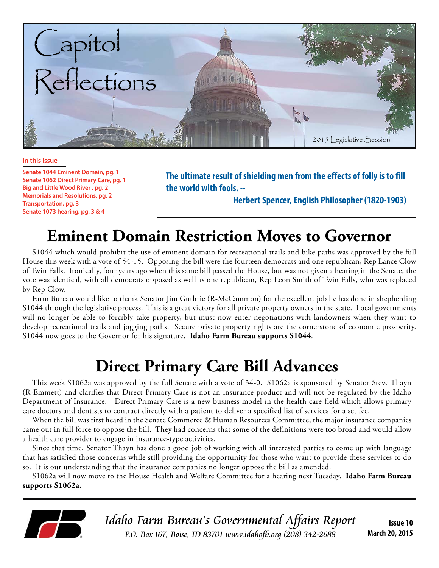

#### **In this issue**

**Senate 1044 Eminent Domain, pg. 1 Senate 1062 Direct Primary Care, pg. 1 Big and Little Wood River , pg. 2 Memorials and Resolutions, pg. 2 Transportation, pg. 3 Senate 1073 hearing, pg. 3 & 4**

**The ultimate result of shielding men from the effects of folly is to fill the world with fools. --** 

 **Herbert Spencer, English Philosopher (1820-1903)**

# **Eminent Domain Restriction Moves to Governor**

S1044 which would prohibit the use of eminent domain for recreational trails and bike paths was approved by the full House this week with a vote of 54-15. Opposing the bill were the fourteen democrats and one republican, Rep Lance Clow of Twin Falls. Ironically, four years ago when this same bill passed the House, but was not given a hearing in the Senate, the vote was identical, with all democrats opposed as well as one republican, Rep Leon Smith of Twin Falls, who was replaced by Rep Clow.

Farm Bureau would like to thank Senator Jim Guthrie (R-McCammon) for the excellent job he has done in shepherding S1044 through the legislative process. This is a great victory for all private property owners in the state. Local governments will no longer be able to forcibly take property, but must now enter negotiations with landowners when they want to develop recreational trails and jogging paths. Secure private property rights are the cornerstone of economic prosperity. S1044 now goes to the Governor for his signature. **Idaho Farm Bureau supports S1044**.

# **Direct Primary Care Bill Advances**

This week S1062a was approved by the full Senate with a vote of 34-0. S1062a is sponsored by Senator Steve Thayn (R-Emmett) and clarifies that Direct Primary Care is not an insurance product and will not be regulated by the Idaho Department of Insurance. Direct Primary Care is a new business model in the health care field which allows primary care doctors and dentists to contract directly with a patient to deliver a specified list of services for a set fee.

When the bill was first heard in the Senate Commerce & Human Resources Committee, the major insurance companies came out in full force to oppose the bill. They had concerns that some of the definitions were too broad and would allow a health care provider to engage in insurance-type activities.

Since that time, Senator Thayn has done a good job of working with all interested parties to come up with language that has satisfied those concerns while still providing the opportunity for those who want to provide these services to do so. It is our understanding that the insurance companies no longer oppose the bill as amended.

S1062a will now move to the House Health and Welfare Committee for a hearing next Tuesday. **Idaho Farm Bureau supports S1062a.**



Idaho Farm Bureau's Governmental Affairs Report P.O. Box 167, Boise, ID 83701 www.idahofb.org (208) 342-2688

**Issue 10 March 20, 2015**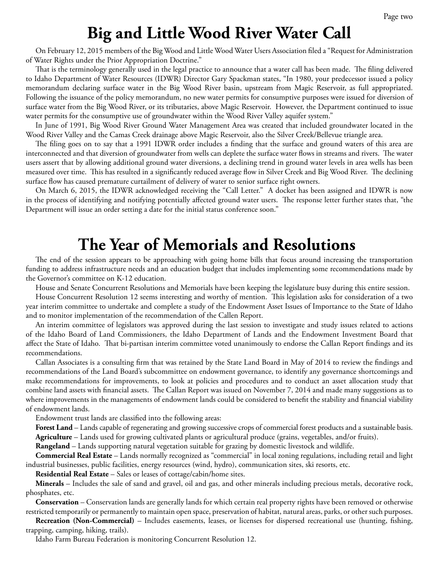## **Big and Little Wood River Water Call**

On February 12, 2015 members of the Big Wood and Little Wood Water Users Association filed a "Request for Administration of Water Rights under the Prior Appropriation Doctrine."

That is the terminology generally used in the legal practice to announce that a water call has been made. The filing delivered to Idaho Department of Water Resources (IDWR) Director Gary Spackman states, "In 1980, your predecessor issued a policy memorandum declaring surface water in the Big Wood River basin, upstream from Magic Reservoir, as full appropriated. Following the issuance of the policy memorandum, no new water permits for consumptive purposes were issued for diversion of surface water from the Big Wood River, or its tributaries, above Magic Reservoir. However, the Department continued to issue water permits for the consumptive use of groundwater within the Wood River Valley aquifer system."

In June of 1991, Big Wood River Ground Water Management Area was created that included groundwater located in the Wood River Valley and the Camas Creek drainage above Magic Reservoir, also the Silver Creek/Bellevue triangle area.

The filing goes on to say that a 1991 IDWR order includes a finding that the surface and ground waters of this area are interconnected and that diversion of groundwater from wells can deplete the surface water flows in streams and rivers. The water users assert that by allowing additional ground water diversions, a declining trend in ground water levels in area wells has been measured over time. This has resulted in a significantly reduced average flow in Silver Creek and Big Wood River. The declining surface flow has caused premature curtailment of delivery of water to senior surface right owners.

On March 6, 2015, the IDWR acknowledged receiving the "Call Letter." A docket has been assigned and IDWR is now in the process of identifying and notifying potentially affected ground water users. The response letter further states that, "the Department will issue an order setting a date for the initial status conference soon."

#### **The Year of Memorials and Resolutions**

The end of the session appears to be approaching with going home bills that focus around increasing the transportation funding to address infrastructure needs and an education budget that includes implementing some recommendations made by the Governor's committee on K-12 education.

House and Senate Concurrent Resolutions and Memorials have been keeping the legislature busy during this entire session.

House Concurrent Resolution 12 seems interesting and worthy of mention. This legislation asks for consideration of a two year interim committee to undertake and complete a study of the Endowment Asset Issues of Importance to the State of Idaho and to monitor implementation of the recommendation of the Callen Report.

An interim committee of legislators was approved during the last session to investigate and study issues related to actions of the Idaho Board of Land Commissioners, the Idaho Department of Lands and the Endowment Investment Board that affect the State of Idaho. That bi-partisan interim committee voted unanimously to endorse the Callan Report findings and its recommendations.

Callan Associates is a consulting firm that was retained by the State Land Board in May of 2014 to review the findings and recommendations of the Land Board's subcommittee on endowment governance, to identify any governance shortcomings and make recommendations for improvements, to look at policies and procedures and to conduct an asset allocation study that combine land assets with financial assets. The Callan Report was issued on November 7, 2014 and made many suggestions as to where improvements in the managements of endowment lands could be considered to benefit the stability and financial viability of endowment lands.

Endowment trust lands are classified into the following areas:

**Forest Land** – Lands capable of regenerating and growing successive crops of commercial forest products and a sustainable basis.

**Agriculture** – Lands used for growing cultivated plants or agricultural produce (grains, vegetables, and/or fruits).

**Rangeland** – Lands supporting natural vegetation suitable for grazing by domestic livestock and wildlife.

**Commercial Real Estate** – Lands normally recognized as "commercial" in local zoning regulations, including retail and light industrial businesses, public facilities, energy resources (wind, hydro), communication sites, ski resorts, etc.

**Residential Real Estate** – Sales or leases of cottage/cabin/home sites.

**Minerals** – Includes the sale of sand and gravel, oil and gas, and other minerals including precious metals, decorative rock, phosphates, etc.

**Conservation** – Conservation lands are generally lands for which certain real property rights have been removed or otherwise restricted temporarily or permanently to maintain open space, preservation of habitat, natural areas, parks, or other such purposes.

**Recreation (Non-Commercial)** – Includes easements, leases, or licenses for dispersed recreational use (hunting, fishing, trapping, camping, hiking, trails).

Idaho Farm Bureau Federation is monitoring Concurrent Resolution 12.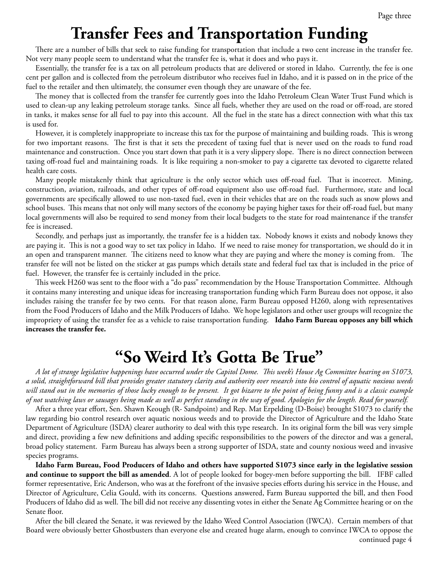## **Transfer Fees and Transportation Funding**

There are a number of bills that seek to raise funding for transportation that include a two cent increase in the transfer fee. Not very many people seem to understand what the transfer fee is, what it does and who pays it.

Essentially, the transfer fee is a tax on all petroleum products that are delivered or stored in Idaho. Currently, the fee is one cent per gallon and is collected from the petroleum distributor who receives fuel in Idaho, and it is passed on in the price of the fuel to the retailer and then ultimately, the consumer even though they are unaware of the fee.

The money that is collected from the transfer fee currently goes into the Idaho Petroleum Clean Water Trust Fund which is used to clean-up any leaking petroleum storage tanks. Since all fuels, whether they are used on the road or off-road, are stored in tanks, it makes sense for all fuel to pay into this account. All the fuel in the state has a direct connection with what this tax is used for.

However, it is completely inappropriate to increase this tax for the purpose of maintaining and building roads. This is wrong for two important reasons. The first is that it sets the precedent of taxing fuel that is never used on the roads to fund road maintenance and construction. Once you start down that path it is a very slippery slope. There is no direct connection between taxing off-road fuel and maintaining roads. It is like requiring a non-smoker to pay a cigarette tax devoted to cigarette related health care costs.

Many people mistakenly think that agriculture is the only sector which uses off-road fuel. That is incorrect. Mining, construction, aviation, railroads, and other types of off-road equipment also use off-road fuel. Furthermore, state and local governments are specifically allowed to use non-taxed fuel, even in their vehicles that are on the roads such as snow plows and school buses. This means that not only will many sectors of the economy be paying higher taxes for their off-road fuel, but many local governments will also be required to send money from their local budgets to the state for road maintenance if the transfer fee is increased.

Secondly, and perhaps just as importantly, the transfer fee is a hidden tax. Nobody knows it exists and nobody knows they are paying it. This is not a good way to set tax policy in Idaho. If we need to raise money for transportation, we should do it in an open and transparent manner. The citizens need to know what they are paying and where the money is coming from. The transfer fee will not be listed on the sticker at gas pumps which details state and federal fuel tax that is included in the price of fuel. However, the transfer fee is certainly included in the price.

This week H260 was sent to the floor with a "do pass" recommendation by the House Transportation Committee. Although it contains many interesting and unique ideas for increasing transportation funding which Farm Bureau does not oppose, it also includes raising the transfer fee by two cents. For that reason alone, Farm Bureau opposed H260, along with representatives from the Food Producers of Idaho and the Milk Producers of Idaho. We hope legislators and other user groups will recognize the impropriety of using the transfer fee as a vehicle to raise transportation funding. **Idaho Farm Bureau opposes any bill which increases the transfer fee.** 

## **"So Weird It's Gotta Be True"**

*A lot of strange legislative happenings have occurred under the Capitol Dome. This week's House Ag Committee hearing on S1073, a solid, straightforward bill that provides greater statutory clarity and authority over research into bio control of aquatic noxious weeds will stand out in the memories of those lucky enough to be present. It got bizarre to the point of being funny and is a classic example of not watching laws or sausages being made as well as perfect standing in the way of good. Apologies for the length. Read for yourself.* 

After a three year effort, Sen. Shawn Keough (R- Sandpoint) and Rep. Mat Erpelding (D-Boise) brought S1073 to clarify the law regarding bio control research over aquatic noxious weeds and to provide the Director of Agriculture and the Idaho State Department of Agriculture (ISDA) clearer authority to deal with this type research. In its original form the bill was very simple and direct, providing a few new definitions and adding specific responsibilities to the powers of the director and was a general, broad policy statement. Farm Bureau has always been a strong supporter of ISDA, state and county noxious weed and invasive species programs.

**Idaho Farm Bureau, Food Producers of Idaho and others have supported S1073 since early in the legislative session and continue to support the bill as amended**. A lot of people looked for bogey-men before supporting the bill. IFBF called former representative, Eric Anderson, who was at the forefront of the invasive species efforts during his service in the House, and Director of Agriculture, Celia Gould, with its concerns. Questions answered, Farm Bureau supported the bill, and then Food Producers of Idaho did as well. The bill did not receive any dissenting votes in either the Senate Ag Committee hearing or on the Senate floor.

continued page 4 After the bill cleared the Senate, it was reviewed by the Idaho Weed Control Association (IWCA). Certain members of that Board were obviously better Ghostbusters than everyone else and created huge alarm, enough to convince IWCA to oppose the